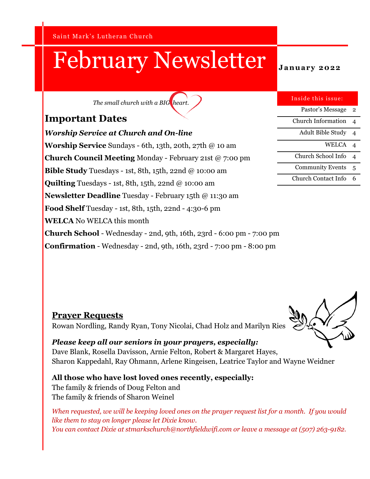Saint Mark's Lutheran Church

# **February Newsletter** January 2022

*The small church with a BIG heart.*

## **Important Dates**

*Worship Service at Church and On-line* **Worship Service** Sundays - 6th, 13th, 20th, 27th @ 10 am **Church Council Meeting** Monday - February 21st @ 7:00 pm **Bible Study** Tuesdays - 1st, 8th, 15th, 22nd @ 10:00 am **Quilting** Tuesdays - 1st, 8th, 15th, 22nd @ 10:00 am **Newsletter Deadline** Tuesday - February 15th @ 11:30 am **Food Shelf** Tuesday - 1st, 8th, 15th, 22nd - 4:30-6 pm **WELCA** No WELCA this month **Church School** - Wednesday - 2nd, 9th, 16th, 23rd - 6:00 pm - 7:00 pm **Confirmation** - Wednesday - 2nd, 9th, 16th, 23rd - 7:00 pm - 8:00 pm

| Inside this issue:       |   |
|--------------------------|---|
| Pastor's Message         | 2 |
| Church Information       | 4 |
| <b>Adult Bible Study</b> | 4 |
| <b>WELCA</b>             | 4 |
| Church School Info       | 4 |
| <b>Community Events</b>  | 5 |
| Church Contact Info      | 6 |

**Prayer Requests** Rowan Nordling, Randy Ryan, Tony Nicolai, Chad Holz and Marilyn Ries

*Please keep all our seniors in your prayers, especially:*  Dave Blank, Rosella Davisson, Arnie Felton, Robert & Margaret Hayes, Sharon Kappedahl, Ray Ohmann, Arlene Ringeisen, Leatrice Taylor and Wayne Weidner

## **All those who have lost loved ones recently, especially:** The family & friends of Doug Felton and

The family & friends of Sharon Weinel

*When requested, we will be keeping loved ones on the prayer request list for a month. If you would like them to stay on longer please let Dixie know. You can contact Dixie at stmarkschurch@northfieldwifi.com or leave a message at (507) 263-9182.*

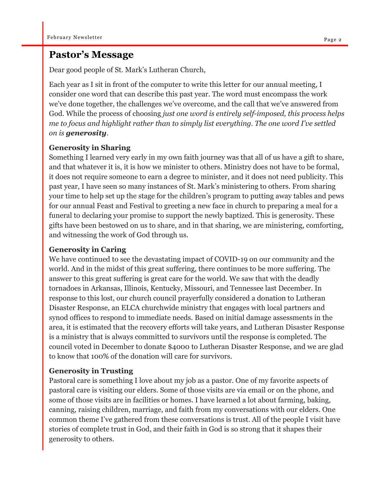### **Pastor's Message**

Dear good people of St. Mark's Lutheran Church,

Each year as I sit in front of the computer to write this letter for our annual meeting, I consider one word that can describe this past year. The word must encompass the work we've done together, the challenges we've overcome, and the call that we've answered from God. While the process of choosing *just one word is entirely self-imposed, this process helps me to focus and highlight rather than to simply list everything. The one word I've settled on is generosity.*

#### **Generosity in Sharing**

Something I learned very early in my own faith journey was that all of us have a gift to share, and that whatever it is, it is how we minister to others. Ministry does not have to be formal, it does not require someone to earn a degree to minister, and it does not need publicity. This past year, I have seen so many instances of St. Mark's ministering to others. From sharing your time to help set up the stage for the children's program to putting away tables and pews for our annual Feast and Festival to greeting a new face in church to preparing a meal for a funeral to declaring your promise to support the newly baptized. This is generosity. These gifts have been bestowed on us to share, and in that sharing, we are ministering, comforting, and witnessing the work of God through us.

#### **Generosity in Caring**

We have continued to see the devastating impact of COVID-19 on our community and the world. And in the midst of this great suffering, there continues to be more suffering. The answer to this great suffering is great care for the world. We saw that with the deadly tornadoes in Arkansas, Illinois, Kentucky, Missouri, and Tennessee last December. In response to this lost, our church council prayerfully considered a donation to Lutheran Disaster Response, an ELCA churchwide ministry that engages with local partners and synod offices to respond to immediate needs. Based on initial damage assessments in the area, it is estimated that the recovery efforts will take years, and Lutheran Disaster Response is a ministry that is always committed to survivors until the response is completed. The council voted in December to donate \$4000 to Lutheran Disaster Response, and we are glad to know that 100% of the donation will care for survivors.

#### **Generosity in Trusting**

Pastoral care is something I love about my job as a pastor. One of my favorite aspects of pastoral care is visiting our elders. Some of those visits are via email or on the phone, and some of those visits are in facilities or homes. I have learned a lot about farming, baking, canning, raising children, marriage, and faith from my conversations with our elders. One common theme I've gathered from these conversations is trust. All of the people I visit have stories of complete trust in God, and their faith in God is so strong that it shapes their generosity to others.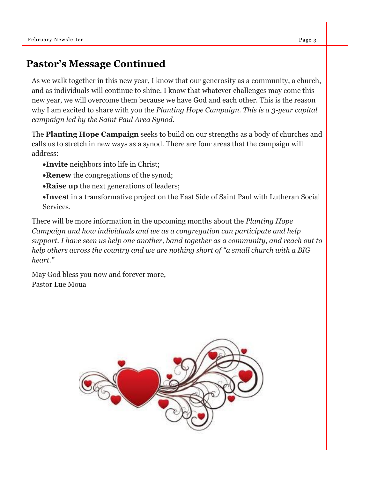# **Pastor's Message Continued**

As we walk together in this new year, I know that our generosity as a community, a church, and as individuals will continue to shine. I know that whatever challenges may come this new year, we will overcome them because we have God and each other. This is the reason why I am excited to share with you the *Planting Hope Campaign. This is a 3-year capital campaign led by the Saint Paul Area Synod.*

The **Planting Hope Campaign** seeks to build on our strengths as a body of churches and calls us to stretch in new ways as a synod. There are four areas that the campaign will address:

- •**Invite** neighbors into life in Christ;
- •**Renew** the congregations of the synod;
- •**Raise up** the next generations of leaders;
- •**Invest** in a transformative project on the East Side of Saint Paul with Lutheran Social Services.

There will be more information in the upcoming months about the *Planting Hope Campaign and how individuals and we as a congregation can participate and help support. I have seen us help one another, band together as a community, and reach out to help others across the country and we are nothing short of "a small church with a BIG heart."*

May God bless you now and forever more, Pastor Lue Moua

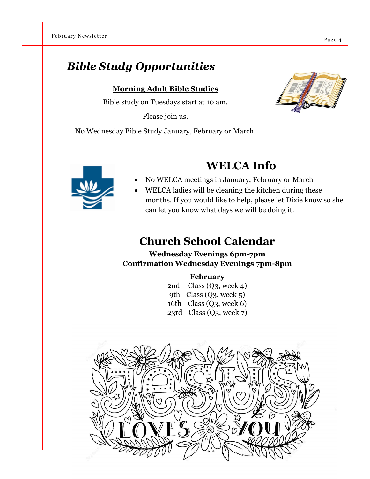# *Bible Study Opportunities*

**Morning Adult Bible Studies**

Bible study on Tuesdays start at 10 am.

Please join us.

No Wednesday Bible Study January, February or March.





# **WELCA Info**

- No WELCA meetings in January, February or March
- WELCA ladies will be cleaning the kitchen during these months. If you would like to help, please let Dixie know so she can let you know what days we will be doing it.

# **Church School Calendar**

### **Wednesday Evenings 6pm-7pm Confirmation Wednesday Evenings 7pm-8pm**

#### **February**

 $2nd$  – Class (Q3, week 4) 9th - Class  $(Q_3, \text{ week } 5)$ 16th - Class (Q3, week 6) 23rd - Class (Q3, week 7)



Page 4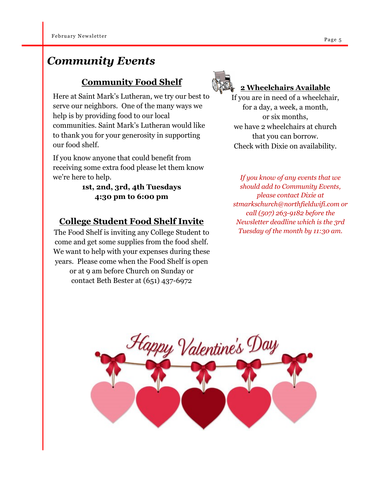# *Community Events*

# **Community Food Shelf**

Here at Saint Mark's Lutheran, we try our best to serve our neighbors. One of the many ways we help is by providing food to our local communities. Saint Mark's Lutheran would like to thank you for your generosity in supporting our food shelf.

If you know anyone that could benefit from receiving some extra food please let them know we're here to help.

### **1st, 2nd, 3rd, 4th Tuesdays 4:30 pm to 6:00 pm**

# **College Student Food Shelf Invite**

The Food Shelf is inviting any College Student to come and get some supplies from the food shelf. We want to help with your expenses during these years. Please come when the Food Shelf is open or at 9 am before Church on Sunday or contact Beth Bester at (651) 437-6972



## **2 Wheelchairs Available**

If you are in need of a wheelchair, for a day, a week, a month, or six months, we have 2 wheelchairs at church that you can borrow. Check with Dixie on availability.

*If you know of any events that we should add to Community Events, please contact Dixie at stmarkschurch@northfieldwifi.com or call (507) 263-9182 before the Newsletter deadline which is the 3rd Tuesday of the month by 11:30 am.*